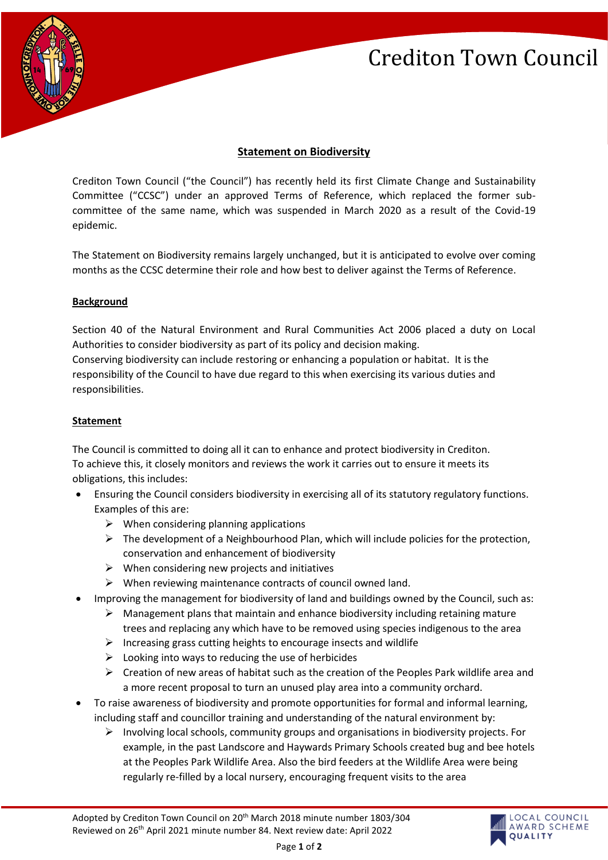# Crediton Town Council



### **Statement on Biodiversity**

Crediton Town Council ("the Council") has recently held its first Climate Change and Sustainability Committee ("CCSC") under an approved Terms of Reference, which replaced the former subcommittee of the same name, which was suspended in March 2020 as a result of the Covid-19 epidemic.

The Statement on Biodiversity remains largely unchanged, but it is anticipated to evolve over coming months as the CCSC determine their role and how best to deliver against the Terms of Reference.

### **Background**

Section 40 of the Natural Environment and Rural Communities Act 2006 placed a duty on Local Authorities to consider biodiversity as part of its policy and decision making. Conserving biodiversity can include restoring or enhancing a population or habitat. It is the responsibility of the Council to have due regard to this when exercising its various duties and responsibilities.

#### **Statement**

The Council is committed to doing all it can to enhance and protect biodiversity in Crediton. To achieve this, it closely monitors and reviews the work it carries out to ensure it meets its obligations, this includes:

- Ensuring the Council considers biodiversity in exercising all of its statutory regulatory functions. Examples of this are:
	- $\triangleright$  When considering planning applications
	- $\triangleright$  The development of a Neighbourhood Plan, which will include policies for the protection, conservation and enhancement of biodiversity
	- $\triangleright$  When considering new projects and initiatives
	- $\triangleright$  When reviewing maintenance contracts of council owned land.
- Improving the management for biodiversity of land and buildings owned by the Council, such as:
	- $\triangleright$  Management plans that maintain and enhance biodiversity including retaining mature trees and replacing any which have to be removed using species indigenous to the area
	- $\triangleright$  Increasing grass cutting heights to encourage insects and wildlife
	- $\triangleright$  Looking into ways to reducing the use of herbicides
	- $\triangleright$  Creation of new areas of habitat such as the creation of the Peoples Park wildlife area and a more recent proposal to turn an unused play area into a community orchard.
- To raise awareness of biodiversity and promote opportunities for formal and informal learning, including staff and councillor training and understanding of the natural environment by:
	- $\triangleright$  Involving local schools, community groups and organisations in biodiversity projects. For example, in the past Landscore and Haywards Primary Schools created bug and bee hotels at the Peoples Park Wildlife Area. Also the bird feeders at the Wildlife Area were being regularly re-filled by a local nursery, encouraging frequent visits to the area